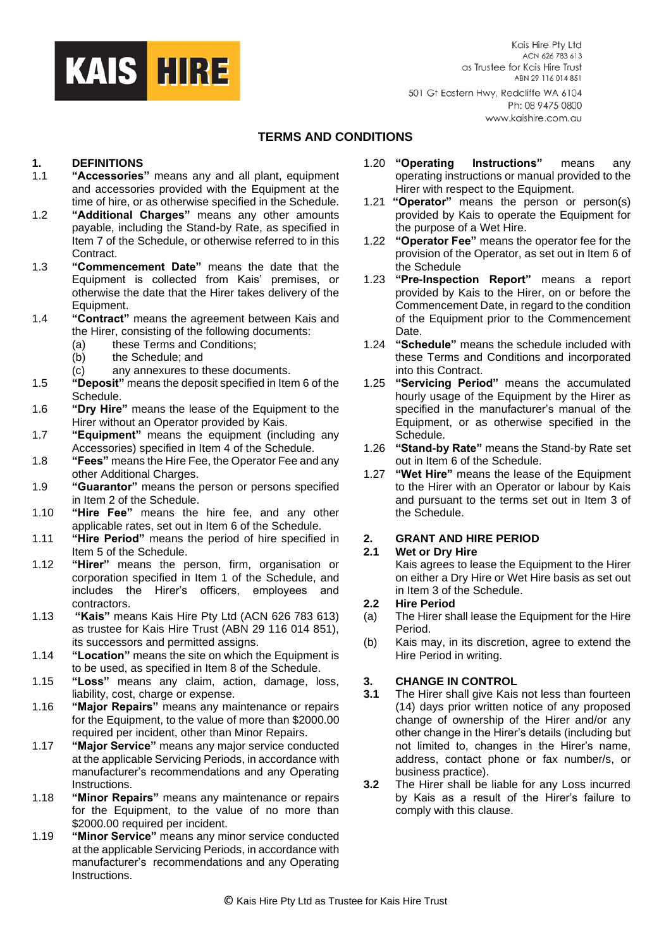

501 Gt Eastern Hwy, Redcliffe WA 6104 Ph: 08 9475 0800 www.kaishire.com.au

# **TERMS AND CONDITIONS**

# **1. DEFINITIONS**

- 1.1 **"Accessories"** means any and all plant, equipment and accessories provided with the Equipment at the time of hire, or as otherwise specified in the Schedule.
- 1.2 **"Additional Charges"** means any other amounts payable, including the Stand-by Rate, as specified in Item 7 of the Schedule, or otherwise referred to in this Contract.
- 1.3 **"Commencement Date"** means the date that the Equipment is collected from Kais' premises, or otherwise the date that the Hirer takes delivery of the Equipment.
- 1.4 **"Contract"** means the agreement between Kais and the Hirer, consisting of the following documents:
	- (a) these Terms and Conditions;
	- (b) the Schedule; and
	- (c) any annexures to these documents.
- 1.5 **"Deposit"** means the deposit specified in Item 6 of the Schedule.
- 1.6 **"Dry Hire"** means the lease of the Equipment to the Hirer without an Operator provided by Kais.
- 1.7 **"Equipment"** means the equipment (including any Accessories) specified in Item 4 of the Schedule.
- 1.8 **"Fees"** means the Hire Fee, the Operator Fee and any other Additional Charges.
- 1.9 **"Guarantor"** means the person or persons specified in Item 2 of the Schedule.
- 1.10 **"Hire Fee"** means the hire fee, and any other applicable rates, set out in Item 6 of the Schedule.
- 1.11 **"Hire Period"** means the period of hire specified in Item 5 of the Schedule.
- 1.12 **"Hirer"** means the person, firm, organisation or corporation specified in Item 1 of the Schedule, and includes the Hirer's officers, employees and contractors.
- 1.13 **"Kais"** means Kais Hire Pty Ltd (ACN 626 783 613) as trustee for Kais Hire Trust (ABN 29 116 014 851), its successors and permitted assigns.
- 1.14 **"Location"** means the site on which the Equipment is to be used, as specified in Item 8 of the Schedule.
- 1.15 **"Loss"** means any claim, action, damage, loss, liability, cost, charge or expense.
- 1.16 **"Major Repairs"** means any maintenance or repairs for the Equipment, to the value of more than \$2000.00 required per incident, other than Minor Repairs.
- 1.17 **"Major Service"** means any major service conducted at the applicable Servicing Periods, in accordance with manufacturer's recommendations and any Operating **Instructions**
- 1.18 **"Minor Repairs"** means any maintenance or repairs for the Equipment, to the value of no more than \$2000.00 required per incident.
- 1.19 **"Minor Service"** means any minor service conducted at the applicable Servicing Periods, in accordance with manufacturer's recommendations and any Operating Instructions.
- 1.20 **"Operating Instructions"** means any operating instructions or manual provided to the Hirer with respect to the Equipment.
- 1.21 **"Operator"** means the person or person(s) provided by Kais to operate the Equipment for the purpose of a Wet Hire.
- 1.22 **"Operator Fee"** means the operator fee for the provision of the Operator, as set out in Item 6 of the Schedule
- 1.23 **"Pre-Inspection Report"** means a report provided by Kais to the Hirer, on or before the Commencement Date, in regard to the condition of the Equipment prior to the Commencement Date.
- 1.24 **"Schedule"** means the schedule included with these Terms and Conditions and incorporated into this Contract.
- 1.25 **"Servicing Period"** means the accumulated hourly usage of the Equipment by the Hirer as specified in the manufacturer's manual of the Equipment, or as otherwise specified in the Schedule.
- 1.26 **"Stand-by Rate"** means the Stand-by Rate set out in Item 6 of the Schedule.
- 1.27 **"Wet Hire"** means the lease of the Equipment to the Hirer with an Operator or labour by Kais and pursuant to the terms set out in Item 3 of the Schedule.

# **2. GRANT AND HIRE PERIOD**

## **2.1 Wet or Dry Hire**

Kais agrees to lease the Equipment to the Hirer on either a Dry Hire or Wet Hire basis as set out in Item 3 of the Schedule.

## **2.2 Hire Period**

- (a) The Hirer shall lease the Equipment for the Hire Period.
- (b) Kais may, in its discretion, agree to extend the Hire Period in writing.

# **3. CHANGE IN CONTROL**

- **3.1** The Hirer shall give Kais not less than fourteen (14) days prior written notice of any proposed change of ownership of the Hirer and/or any other change in the Hirer's details (including but not limited to, changes in the Hirer's name, address, contact phone or fax number/s, or business practice).
- **3.2** The Hirer shall be liable for any Loss incurred by Kais as a result of the Hirer's failure to comply with this clause.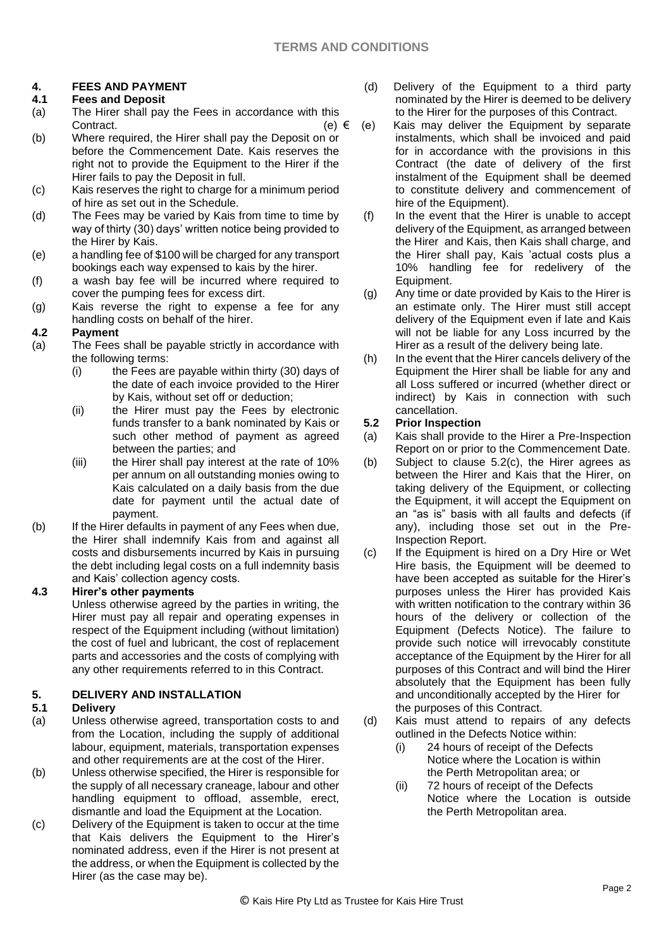# **4. FEES AND PAYMENT**

## **4.1 Fees and Deposit**

- (a) The Hirer shall pay the Fees in accordance with this **Contract**
- (b) Where required, the Hirer shall pay the Deposit on or before the Commencement Date. Kais reserves the right not to provide the Equipment to the Hirer if the Hirer fails to pay the Deposit in full.
- (c) Kais reserves the right to charge for a minimum period of hire as set out in the Schedule.
- (d) The Fees may be varied by Kais from time to time by way of thirty (30) days' written notice being provided to the Hirer by Kais.
- (e) a handling fee of \$100 will be charged for any transport bookings each way expensed to kais by the hirer.
- (f) a wash bay fee will be incurred where required to cover the pumping fees for excess dirt.
- (g) Kais reverse the right to expense a fee for any handling costs on behalf of the hirer.

## **4.2 Payment**

- (a) The Fees shall be payable strictly in accordance with the following terms:
	- (i) the Fees are payable within thirty (30) days of the date of each invoice provided to the Hirer by Kais, without set off or deduction;
	- (ii) the Hirer must pay the Fees by electronic funds transfer to a bank nominated by Kais or such other method of payment as agreed between the parties; and
	- (iii) the Hirer shall pay interest at the rate of 10% per annum on all outstanding monies owing to Kais calculated on a daily basis from the due date for payment until the actual date of payment.
- (b) If the Hirer defaults in payment of any Fees when due, the Hirer shall indemnify Kais from and against all costs and disbursements incurred by Kais in pursuing the debt including legal costs on a full indemnity basis and Kais' collection agency costs.

## **4.3 Hirer's other payments**

Unless otherwise agreed by the parties in writing, the Hirer must pay all repair and operating expenses in respect of the Equipment including (without limitation) the cost of fuel and lubricant, the cost of replacement parts and accessories and the costs of complying with any other requirements referred to in this Contract.

## **5. DELIVERY AND INSTALLATION**

#### **5.1 Delivery**

- (a) Unless otherwise agreed, transportation costs to and from the Location, including the supply of additional labour, equipment, materials, transportation expenses and other requirements are at the cost of the Hirer.
- (b) Unless otherwise specified, the Hirer is responsible for the supply of all necessary craneage, labour and other handling equipment to offload, assemble, erect, dismantle and load the Equipment at the Location.
- (c) Delivery of the Equipment is taken to occur at the time that Kais delivers the Equipment to the Hirer's nominated address, even if the Hirer is not present at the address, or when the Equipment is collected by the Hirer (as the case may be).
- (d) Delivery of the Equipment to a third party nominated by the Hirer is deemed to be delivery to the Hirer for the purposes of this Contract.
- (e)  $∈$  (e) Kais may deliver the Equipment by separate instalments, which shall be invoiced and paid for in accordance with the provisions in this Contract (the date of delivery of the first instalment of the Equipment shall be deemed to constitute delivery and commencement of hire of the Equipment).
	- (f) In the event that the Hirer is unable to accept delivery of the Equipment, as arranged between the Hirer and Kais, then Kais shall charge, and the Hirer shall pay, Kais 'actual costs plus a 10% handling fee for redelivery of the Equipment.
	- (g) Any time or date provided by Kais to the Hirer is an estimate only. The Hirer must still accept delivery of the Equipment even if late and Kais will not be liable for any Loss incurred by the Hirer as a result of the delivery being late.
	- (h) In the event that the Hirer cancels delivery of the Equipment the Hirer shall be liable for any and all Loss suffered or incurred (whether direct or indirect) by Kais in connection with such cancellation.

## **5.2 Prior Inspection**

- (a) Kais shall provide to the Hirer a Pre-Inspection Report on or prior to the Commencement Date.
- (b) Subject to clause 5.2(c), the Hirer agrees as between the Hirer and Kais that the Hirer, on taking delivery of the Equipment, or collecting the Equipment, it will accept the Equipment on an "as is" basis with all faults and defects (if any), including those set out in the Pre-Inspection Report.
- (c) If the Equipment is hired on a Dry Hire or Wet Hire basis, the Equipment will be deemed to have been accepted as suitable for the Hirer's purposes unless the Hirer has provided Kais with written notification to the contrary within 36 hours of the delivery or collection of the Equipment (Defects Notice). The failure to provide such notice will irrevocably constitute acceptance of the Equipment by the Hirer for all purposes of this Contract and will bind the Hirer absolutely that the Equipment has been fully and unconditionally accepted by the Hirer for the purposes of this Contract.
- (d) Kais must attend to repairs of any defects outlined in the Defects Notice within:
	- (i) 24 hours of receipt of the Defects Notice where the Location is within the Perth Metropolitan area; or
	- (ii) 72 hours of receipt of the Defects Notice where the Location is outside the Perth Metropolitan area.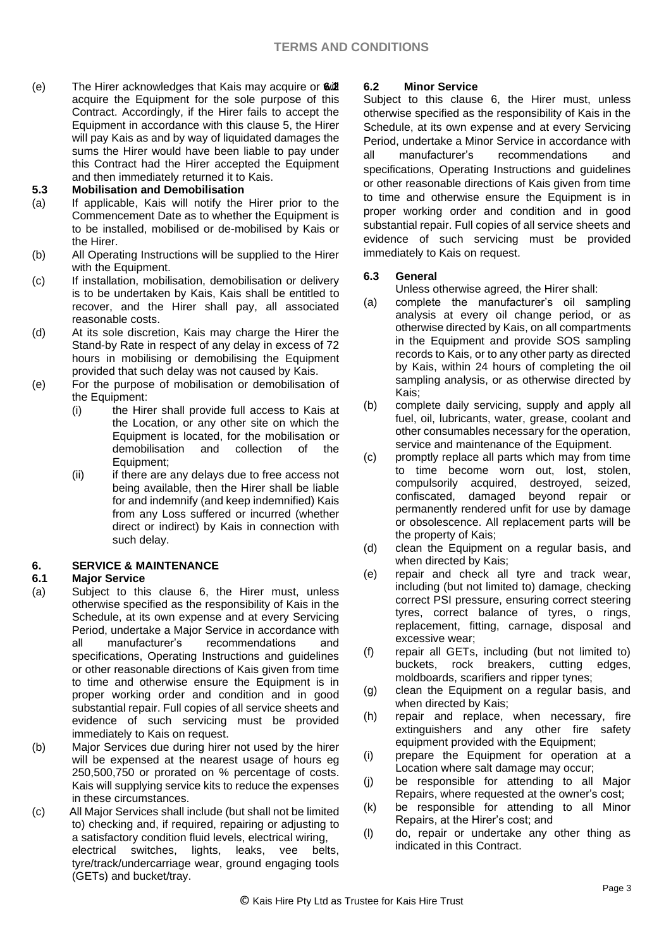(e) The Hirer acknowledges that Kais may acquire or  $\frac{a}{2}$ acquire the Equipment for the sole purpose of this Contract. Accordingly, if the Hirer fails to accept the Equipment in accordance with this clause 5, the Hirer will pay Kais as and by way of liquidated damages the sums the Hirer would have been liable to pay under this Contract had the Hirer accepted the Equipment and then immediately returned it to Kais.

## **5.3 Mobilisation and Demobilisation**

- (a) If applicable, Kais will notify the Hirer prior to the Commencement Date as to whether the Equipment is to be installed, mobilised or de-mobilised by Kais or the Hirer.
- (b) All Operating Instructions will be supplied to the Hirer with the Equipment.
- (c) If installation, mobilisation, demobilisation or delivery is to be undertaken by Kais, Kais shall be entitled to recover, and the Hirer shall pay, all associated reasonable costs.
- (d) At its sole discretion, Kais may charge the Hirer the Stand-by Rate in respect of any delay in excess of 72 hours in mobilising or demobilising the Equipment provided that such delay was not caused by Kais.
- (e) For the purpose of mobilisation or demobilisation of the Equipment:
	- (i) the Hirer shall provide full access to Kais at the Location, or any other site on which the Equipment is located, for the mobilisation or demobilisation and collection of the Equipment;
	- (ii) if there are any delays due to free access not being available, then the Hirer shall be liable for and indemnify (and keep indemnified) Kais from any Loss suffered or incurred (whether direct or indirect) by Kais in connection with such delay.

## **6. SERVICE & MAINTENANCE**

## **6.1 Major Service**

- (a) Subject to this clause 6, the Hirer must, unless otherwise specified as the responsibility of Kais in the Schedule, at its own expense and at every Servicing Period, undertake a Major Service in accordance with all manufacturer's recommendations and specifications, Operating Instructions and guidelines or other reasonable directions of Kais given from time to time and otherwise ensure the Equipment is in proper working order and condition and in good substantial repair. Full copies of all service sheets and evidence of such servicing must be provided immediately to Kais on request.
- (b) Major Services due during hirer not used by the hirer will be expensed at the nearest usage of hours eg 250,500,750 or prorated on % percentage of costs. Kais will supplying service kits to reduce the expenses in these circumstances.
- (c) All Major Services shall include (but shall not be limited to) checking and, if required, repairing or adjusting to a satisfactory condition fluid levels, electrical wiring, electrical switches, lights, leaks, vee belts, tyre/track/undercarriage wear, ground engaging tools (GETs) and bucket/tray.

#### **6.2 6.2 Minor Service**

Subject to this clause 6, the Hirer must, unless otherwise specified as the responsibility of Kais in the Schedule, at its own expense and at every Servicing Period, undertake a Minor Service in accordance with all manufacturer's recommendations and specifications, Operating Instructions and guidelines or other reasonable directions of Kais given from time to time and otherwise ensure the Equipment is in proper working order and condition and in good substantial repair. Full copies of all service sheets and evidence of such servicing must be provided immediately to Kais on request.

## **6.3 General**

Unless otherwise agreed, the Hirer shall:

- (a) complete the manufacturer's oil sampling analysis at every oil change period, or as otherwise directed by Kais, on all compartments in the Equipment and provide SOS sampling records to Kais, or to any other party as directed by Kais, within 24 hours of completing the oil sampling analysis, or as otherwise directed by Kais;
- (b) complete daily servicing, supply and apply all fuel, oil, lubricants, water, grease, coolant and other consumables necessary for the operation, service and maintenance of the Equipment.
- (c) promptly replace all parts which may from time to time become worn out, lost, stolen, compulsorily acquired, destroyed, seized, confiscated, damaged beyond repair or permanently rendered unfit for use by damage or obsolescence. All replacement parts will be the property of Kais;
- (d) clean the Equipment on a regular basis, and when directed by Kais;
- (e) repair and check all tyre and track wear, including (but not limited to) damage, checking correct PSI pressure, ensuring correct steering tyres, correct balance of tyres, o rings, replacement, fitting, carnage, disposal and excessive wear;
- (f) repair all GETs, including (but not limited to) buckets, rock breakers, cutting edges, moldboards, scarifiers and ripper tynes;
- (g) clean the Equipment on a regular basis, and when directed by Kais;
- (h) repair and replace, when necessary, fire extinguishers and any other fire safety equipment provided with the Equipment;
- (i) prepare the Equipment for operation at a Location where salt damage may occur;
- (j) be responsible for attending to all Major Repairs, where requested at the owner's cost;
- (k) be responsible for attending to all Minor Repairs, at the Hirer's cost; and
- (l) do, repair or undertake any other thing as indicated in this Contract.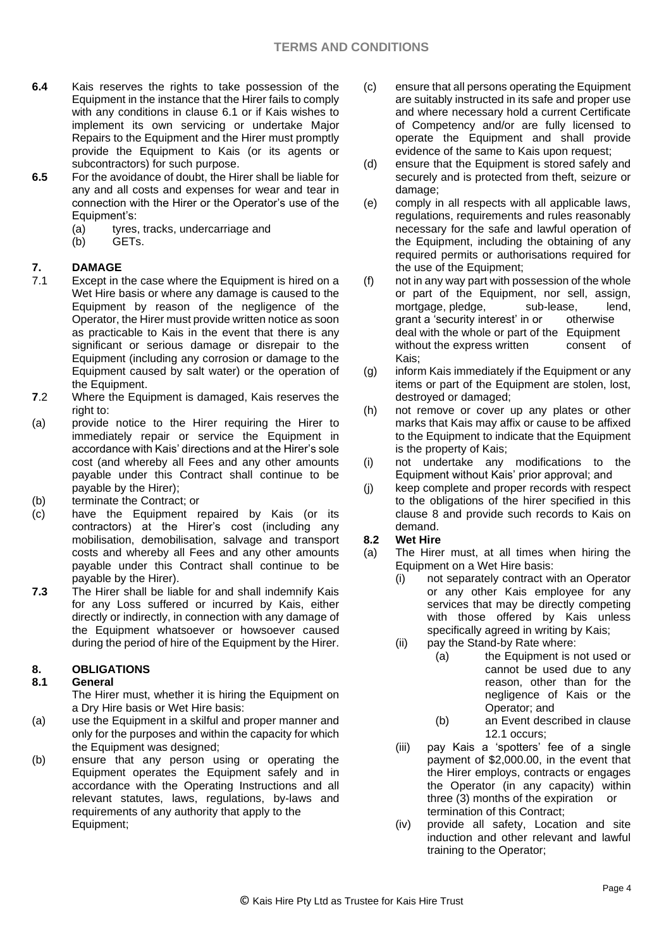- **6.4** Kais reserves the rights to take possession of the Equipment in the instance that the Hirer fails to comply with any conditions in clause 6.1 or if Kais wishes to implement its own servicing or undertake Major Repairs to the Equipment and the Hirer must promptly provide the Equipment to Kais (or its agents or subcontractors) for such purpose.
- **6.5** For the avoidance of doubt, the Hirer shall be liable for any and all costs and expenses for wear and tear in connection with the Hirer or the Operator's use of the Equipment's:
	- (a) tyres, tracks, undercarriage and
	- (b) GETs.

## **7. DAMAGE**

- 7.1 Except in the case where the Equipment is hired on a Wet Hire basis or where any damage is caused to the Equipment by reason of the negligence of the Operator, the Hirer must provide written notice as soon as practicable to Kais in the event that there is any significant or serious damage or disrepair to the Equipment (including any corrosion or damage to the Equipment caused by salt water) or the operation of the Equipment.
- **7**.2 Where the Equipment is damaged, Kais reserves the right to:
- (a) provide notice to the Hirer requiring the Hirer to immediately repair or service the Equipment in accordance with Kais' directions and at the Hirer's sole cost (and whereby all Fees and any other amounts payable under this Contract shall continue to be payable by the Hirer);
- (b) terminate the Contract; or
- (c) have the Equipment repaired by Kais (or its contractors) at the Hirer's cost (including any mobilisation, demobilisation, salvage and transport costs and whereby all Fees and any other amounts payable under this Contract shall continue to be payable by the Hirer).
- **7.3** The Hirer shall be liable for and shall indemnify Kais for any Loss suffered or incurred by Kais, either directly or indirectly, in connection with any damage of the Equipment whatsoever or howsoever caused during the period of hire of the Equipment by the Hirer.

## **8. OBLIGATIONS**

## **8.1 General**

The Hirer must, whether it is hiring the Equipment on a Dry Hire basis or Wet Hire basis:

- (a) use the Equipment in a skilful and proper manner and only for the purposes and within the capacity for which the Equipment was designed:
- (b) ensure that any person using or operating the Equipment operates the Equipment safely and in accordance with the Operating Instructions and all relevant statutes, laws, regulations, by-laws and requirements of any authority that apply to the Equipment;
- (c) ensure that all persons operating the Equipment are suitably instructed in its safe and proper use and where necessary hold a current Certificate of Competency and/or are fully licensed to operate the Equipment and shall provide evidence of the same to Kais upon request;
- (d) ensure that the Equipment is stored safely and securely and is protected from theft, seizure or damage;
- (e) comply in all respects with all applicable laws, regulations, requirements and rules reasonably necessary for the safe and lawful operation of the Equipment, including the obtaining of any required permits or authorisations required for the use of the Equipment;
- (f) not in any way part with possession of the whole or part of the Equipment, nor sell, assign, mortgage, pledge, sub-lease, lend, grant a 'security interest' in or otherwise deal with the whole or part of the Equipment<br>without the express written consent of without the express written Kais;
- (g) inform Kais immediately if the Equipment or any items or part of the Equipment are stolen, lost, destroyed or damaged;
- (h) not remove or cover up any plates or other marks that Kais may affix or cause to be affixed to the Equipment to indicate that the Equipment is the property of Kais;
- (i) not undertake any modifications to the Equipment without Kais' prior approval; and
- (j) keep complete and proper records with respect to the obligations of the hirer specified in this clause 8 and provide such records to Kais on demand.

## **8.2 Wet Hire**

- (a) The Hirer must, at all times when hiring the Equipment on a Wet Hire basis:
	- (i) not separately contract with an Operator or any other Kais employee for any services that may be directly competing with those offered by Kais unless specifically agreed in writing by Kais;
	- (ii) pay the Stand-by Rate where:
		- (a) the Equipment is not used or cannot be used due to any reason, other than for the negligence of Kais or the Operator; and
		- (b) an Event described in clause 12.1 occurs;
	- (iii) pay Kais a 'spotters' fee of a single payment of \$2,000.00, in the event that the Hirer employs, contracts or engages the Operator (in any capacity) within three (3) months of the expiration or termination of this Contract;
	- (iv) provide all safety, Location and site induction and other relevant and lawful training to the Operator;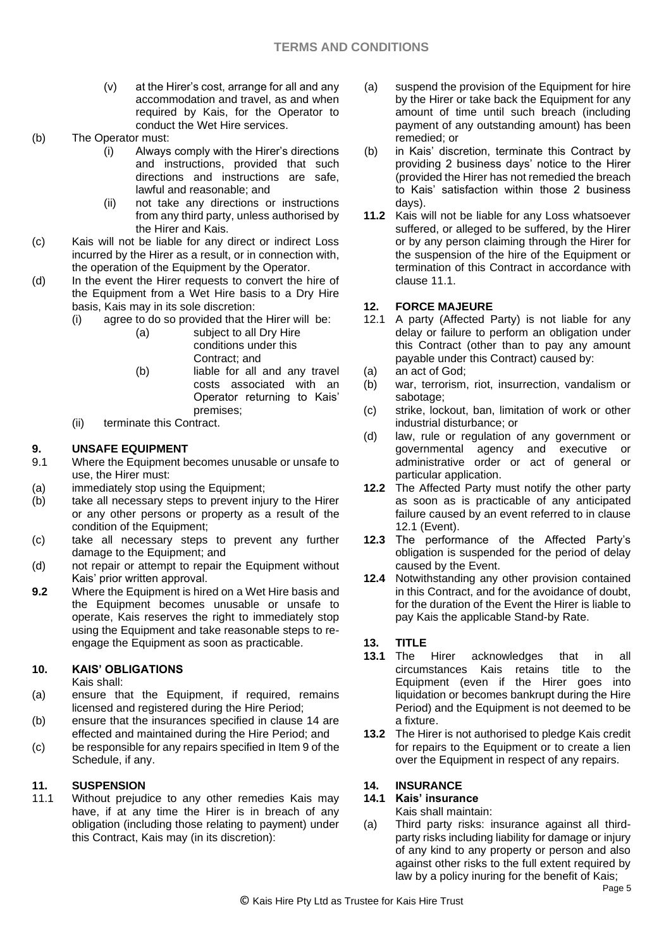(v) at the Hirer's cost, arrange for all and any accommodation and travel, as and when required by Kais, for the Operator to conduct the Wet Hire services.

#### (b) The Operator must:

- (i) Always comply with the Hirer's directions and instructions, provided that such directions and instructions are safe, lawful and reasonable; and
- (ii) not take any directions or instructions from any third party, unless authorised by the Hirer and Kais.
- (c) Kais will not be liable for any direct or indirect Loss incurred by the Hirer as a result, or in connection with, the operation of the Equipment by the Operator.
- (d) In the event the Hirer requests to convert the hire of the Equipment from a Wet Hire basis to a Dry Hire basis, Kais may in its sole discretion:
	- (i) agree to do so provided that the Hirer will be:

| .<br>(a) | subject to all Dry Hire |
|----------|-------------------------|
|          | conditions under this   |
|          | Contract: and           |

- (b) liable for all and any travel costs associated with an Operator returning to Kais' premises;
- (ii) terminate this Contract.

# **9. UNSAFE EQUIPMENT**

- 9.1 Where the Equipment becomes unusable or unsafe to use, the Hirer must:
- (a) immediately stop using the Equipment;
- (b) take all necessary steps to prevent injury to the Hirer or any other persons or property as a result of the condition of the Equipment;
- (c) take all necessary steps to prevent any further damage to the Equipment; and
- (d) not repair or attempt to repair the Equipment without Kais' prior written approval.
- **9.2** Where the Equipment is hired on a Wet Hire basis and the Equipment becomes unusable or unsafe to operate, Kais reserves the right to immediately stop using the Equipment and take reasonable steps to reengage the Equipment as soon as practicable.

## **10. KAIS' OBLIGATIONS**

Kais shall:

- (a) ensure that the Equipment, if required, remains licensed and registered during the Hire Period;
- (b) ensure that the insurances specified in clause 14 are effected and maintained during the Hire Period; and
- (c) be responsible for any repairs specified in Item 9 of the Schedule, if any.

# **11. SUSPENSION**

11.1 Without prejudice to any other remedies Kais may have, if at any time the Hirer is in breach of any obligation (including those relating to payment) under this Contract, Kais may (in its discretion):

- (a) suspend the provision of the Equipment for hire by the Hirer or take back the Equipment for any amount of time until such breach (including payment of any outstanding amount) has been remedied; or
- (b) in Kais' discretion, terminate this Contract by providing 2 business days' notice to the Hirer (provided the Hirer has not remedied the breach to Kais' satisfaction within those 2 business days).
- **11.2** Kais will not be liable for any Loss whatsoever suffered, or alleged to be suffered, by the Hirer or by any person claiming through the Hirer for the suspension of the hire of the Equipment or termination of this Contract in accordance with clause 11.1.

# **12. FORCE MAJEURE**

- 12.1 A party (Affected Party) is not liable for any delay or failure to perform an obligation under this Contract (other than to pay any amount payable under this Contract) caused by:
- (a) an act of God;
- (b) war, terrorism, riot, insurrection, vandalism or sabotage;
- (c) strike, lockout, ban, limitation of work or other industrial disturbance; or
- (d) law, rule or regulation of any government or governmental agency and executive or administrative order or act of general or particular application.
- **12.2** The Affected Party must notify the other party as soon as is practicable of any anticipated failure caused by an event referred to in clause 12.1 (Event).
- **12.3** The performance of the Affected Party's obligation is suspended for the period of delay caused by the Event.
- **12.4** Notwithstanding any other provision contained in this Contract, and for the avoidance of doubt, for the duration of the Event the Hirer is liable to pay Kais the applicable Stand-by Rate.

## **13. TITLE**

- **13.1** The Hirer acknowledges that in all circumstances Kais retains title to the Equipment (even if the Hirer goes into liquidation or becomes bankrupt during the Hire Period) and the Equipment is not deemed to be a fixture.
- **13.2** The Hirer is not authorised to pledge Kais credit for repairs to the Equipment or to create a lien over the Equipment in respect of any repairs.

## **14. INSURANCE**

# **14.1 Kais' insurance**

Kais shall maintain:

(a) Third party risks: insurance against all thirdparty risks including liability for damage or injury of any kind to any property or person and also against other risks to the full extent required by law by a policy inuring for the benefit of Kais;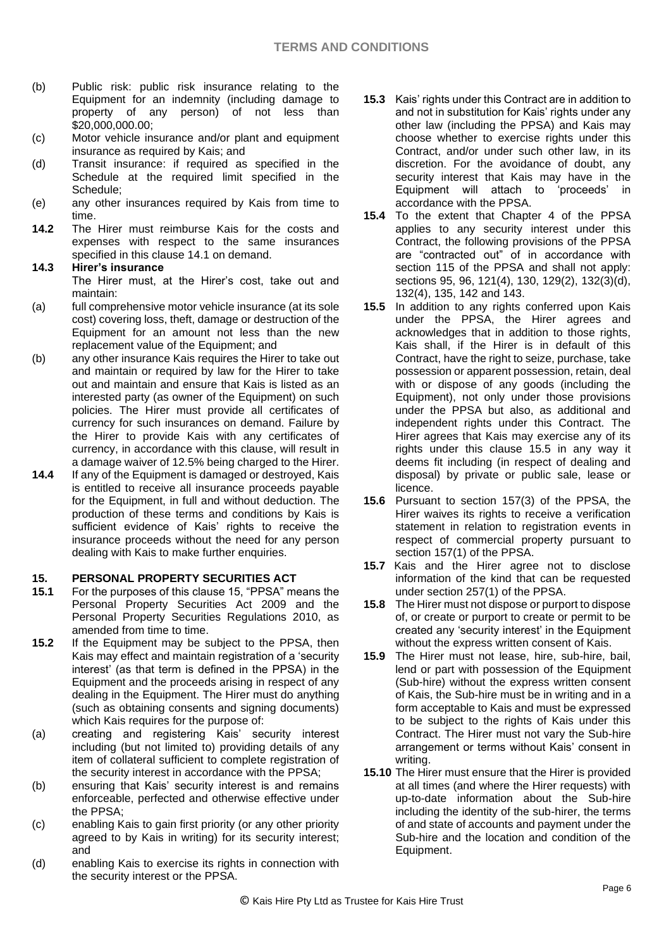- (b) Public risk: public risk insurance relating to the Equipment for an indemnity (including damage to property of any person) of not less than \$20,000,000.00;
- (c) Motor vehicle insurance and/or plant and equipment insurance as required by Kais; and
- (d) Transit insurance: if required as specified in the Schedule at the required limit specified in the Schedule;
- (e) any other insurances required by Kais from time to time.
- **14.2** The Hirer must reimburse Kais for the costs and expenses with respect to the same insurances specified in this clause 14.1 on demand.

#### **14.3 Hirer's insurance**

The Hirer must, at the Hirer's cost, take out and maintain:

- (a) full comprehensive motor vehicle insurance (at its sole cost) covering loss, theft, damage or destruction of the Equipment for an amount not less than the new replacement value of the Equipment; and
- (b) any other insurance Kais requires the Hirer to take out and maintain or required by law for the Hirer to take out and maintain and ensure that Kais is listed as an interested party (as owner of the Equipment) on such policies. The Hirer must provide all certificates of currency for such insurances on demand. Failure by the Hirer to provide Kais with any certificates of currency, in accordance with this clause, will result in a damage waiver of 12.5% being charged to the Hirer.
- **14.4** If any of the Equipment is damaged or destroyed, Kais is entitled to receive all insurance proceeds payable for the Equipment, in full and without deduction. The production of these terms and conditions by Kais is sufficient evidence of Kais' rights to receive the insurance proceeds without the need for any person dealing with Kais to make further enquiries.

## **15. PERSONAL PROPERTY SECURITIES ACT**

- **15.1** For the purposes of this clause 15, "PPSA" means the Personal Property Securities Act 2009 and the Personal Property Securities Regulations 2010, as amended from time to time.
- **15.2** If the Equipment may be subject to the PPSA, then Kais may effect and maintain registration of a 'security interest' (as that term is defined in the PPSA) in the Equipment and the proceeds arising in respect of any dealing in the Equipment. The Hirer must do anything (such as obtaining consents and signing documents) which Kais requires for the purpose of:
- (a) creating and registering Kais' security interest including (but not limited to) providing details of any item of collateral sufficient to complete registration of the security interest in accordance with the PPSA;
- (b) ensuring that Kais' security interest is and remains enforceable, perfected and otherwise effective under the PPSA;
- (c) enabling Kais to gain first priority (or any other priority agreed to by Kais in writing) for its security interest; and
- (d) enabling Kais to exercise its rights in connection with the security interest or the PPSA.
- **15.3** Kais' rights under this Contract are in addition to and not in substitution for Kais' rights under any other law (including the PPSA) and Kais may choose whether to exercise rights under this Contract, and/or under such other law, in its discretion. For the avoidance of doubt, any security interest that Kais may have in the Equipment will attach to 'proceeds' in accordance with the PPSA.
- **15.4** To the extent that Chapter 4 of the PPSA applies to any security interest under this Contract, the following provisions of the PPSA are "contracted out" of in accordance with section 115 of the PPSA and shall not apply: sections 95, 96, 121(4), 130, 129(2), 132(3)(d), 132(4), 135, 142 and 143.
- **15.5** In addition to any rights conferred upon Kais under the PPSA, the Hirer agrees and acknowledges that in addition to those rights, Kais shall, if the Hirer is in default of this Contract, have the right to seize, purchase, take possession or apparent possession, retain, deal with or dispose of any goods (including the Equipment), not only under those provisions under the PPSA but also, as additional and independent rights under this Contract. The Hirer agrees that Kais may exercise any of its rights under this clause 15.5 in any way it deems fit including (in respect of dealing and disposal) by private or public sale, lease or licence.
- **15.6** Pursuant to section 157(3) of the PPSA, the Hirer waives its rights to receive a verification statement in relation to registration events in respect of commercial property pursuant to section 157(1) of the PPSA.
- **15.7** Kais and the Hirer agree not to disclose information of the kind that can be requested under section 257(1) of the PPSA.
- **15.8** The Hirer must not dispose or purport to dispose of, or create or purport to create or permit to be created any 'security interest' in the Equipment without the express written consent of Kais.
- **15.9** The Hirer must not lease, hire, sub-hire, bail, lend or part with possession of the Equipment (Sub-hire) without the express written consent of Kais, the Sub-hire must be in writing and in a form acceptable to Kais and must be expressed to be subject to the rights of Kais under this Contract. The Hirer must not vary the Sub-hire arrangement or terms without Kais' consent in writing.
- **15.10** The Hirer must ensure that the Hirer is provided at all times (and where the Hirer requests) with up-to-date information about the Sub-hire including the identity of the sub-hirer, the terms of and state of accounts and payment under the Sub-hire and the location and condition of the Equipment.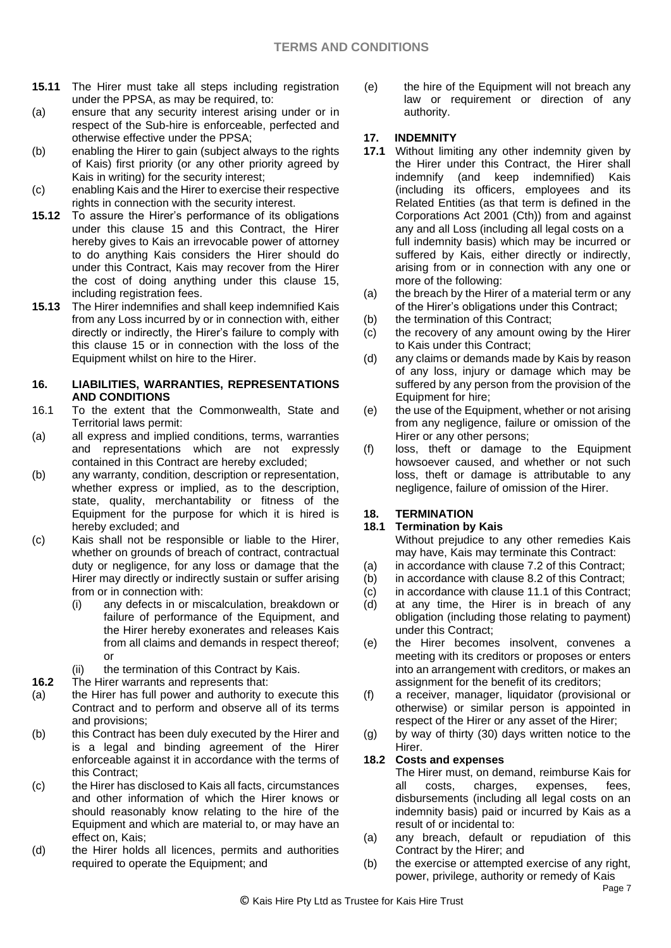- **15.11** The Hirer must take all steps including registration under the PPSA, as may be required, to:
- (a) ensure that any security interest arising under or in respect of the Sub-hire is enforceable, perfected and otherwise effective under the PPSA;
- (b) enabling the Hirer to gain (subject always to the rights of Kais) first priority (or any other priority agreed by Kais in writing) for the security interest;
- (c) enabling Kais and the Hirer to exercise their respective rights in connection with the security interest.
- **15.12** To assure the Hirer's performance of its obligations under this clause 15 and this Contract, the Hirer hereby gives to Kais an irrevocable power of attorney to do anything Kais considers the Hirer should do under this Contract, Kais may recover from the Hirer the cost of doing anything under this clause 15, including registration fees.
- **15.13** The Hirer indemnifies and shall keep indemnified Kais from any Loss incurred by or in connection with, either directly or indirectly, the Hirer's failure to comply with this clause 15 or in connection with the loss of the Equipment whilst on hire to the Hirer.

#### **16. LIABILITIES, WARRANTIES, REPRESENTATIONS AND CONDITIONS**

- 16.1 To the extent that the Commonwealth, State and Territorial laws permit:
- (a) all express and implied conditions, terms, warranties and representations which are not expressly contained in this Contract are hereby excluded;
- (b) any warranty, condition, description or representation, whether express or implied, as to the description, state, quality, merchantability or fitness of the Equipment for the purpose for which it is hired is hereby excluded; and
- (c) Kais shall not be responsible or liable to the Hirer, whether on grounds of breach of contract, contractual duty or negligence, for any loss or damage that the Hirer may directly or indirectly sustain or suffer arising from or in connection with:
	- (i) any defects in or miscalculation, breakdown or failure of performance of the Equipment, and the Hirer hereby exonerates and releases Kais from all claims and demands in respect thereof; or
	- (ii) the termination of this Contract by Kais.
- **16.2** The Hirer warrants and represents that:
- (a) the Hirer has full power and authority to execute this Contract and to perform and observe all of its terms and provisions;
- (b) this Contract has been duly executed by the Hirer and is a legal and binding agreement of the Hirer enforceable against it in accordance with the terms of this Contract;
- (c) the Hirer has disclosed to Kais all facts, circumstances and other information of which the Hirer knows or should reasonably know relating to the hire of the Equipment and which are material to, or may have an effect on, Kais;
- (d) the Hirer holds all licences, permits and authorities required to operate the Equipment; and

(e) the hire of the Equipment will not breach any law or requirement or direction of any authority.

## **17. INDEMNITY**

- **17.1** Without limiting any other indemnity given by the Hirer under this Contract, the Hirer shall indemnify (and keep indemnified) Kais (including its officers, employees and its Related Entities (as that term is defined in the Corporations Act 2001 (Cth)) from and against any and all Loss (including all legal costs on a full indemnity basis) which may be incurred or suffered by Kais, either directly or indirectly, arising from or in connection with any one or more of the following:
- (a) the breach by the Hirer of a material term or any of the Hirer's obligations under this Contract;
- (b) the termination of this Contract;
- (c) the recovery of any amount owing by the Hirer to Kais under this Contract;
- (d) any claims or demands made by Kais by reason of any loss, injury or damage which may be suffered by any person from the provision of the Equipment for hire;
- (e) the use of the Equipment, whether or not arising from any negligence, failure or omission of the Hirer or any other persons;
- (f) loss, theft or damage to the Equipment howsoever caused, and whether or not such loss, theft or damage is attributable to any negligence, failure of omission of the Hirer.

# **18. TERMINATION**

## **18.1 Termination by Kais** Without prejudice to any other remedies Kais

- may have, Kais may terminate this Contract:
- (a) in accordance with clause 7.2 of this Contract;
- (b) in accordance with clause 8.2 of this Contract;
- (c) in accordance with clause 11.1 of this Contract; (d) at any time, the Hirer is in breach of any
- obligation (including those relating to payment) under this Contract;
- (e) the Hirer becomes insolvent, convenes a meeting with its creditors or proposes or enters into an arrangement with creditors, or makes an assignment for the benefit of its creditors;
- (f) a receiver, manager, liquidator (provisional or otherwise) or similar person is appointed in respect of the Hirer or any asset of the Hirer;
- (g) by way of thirty (30) days written notice to the Hirer.

## **18.2 Costs and expenses**

The Hirer must, on demand, reimburse Kais for all costs, charges, expenses, fees, disbursements (including all legal costs on an indemnity basis) paid or incurred by Kais as a result of or incidental to:

- (a) any breach, default or repudiation of this Contract by the Hirer; and
- (b) the exercise or attempted exercise of any right, power, privilege, authority or remedy of Kais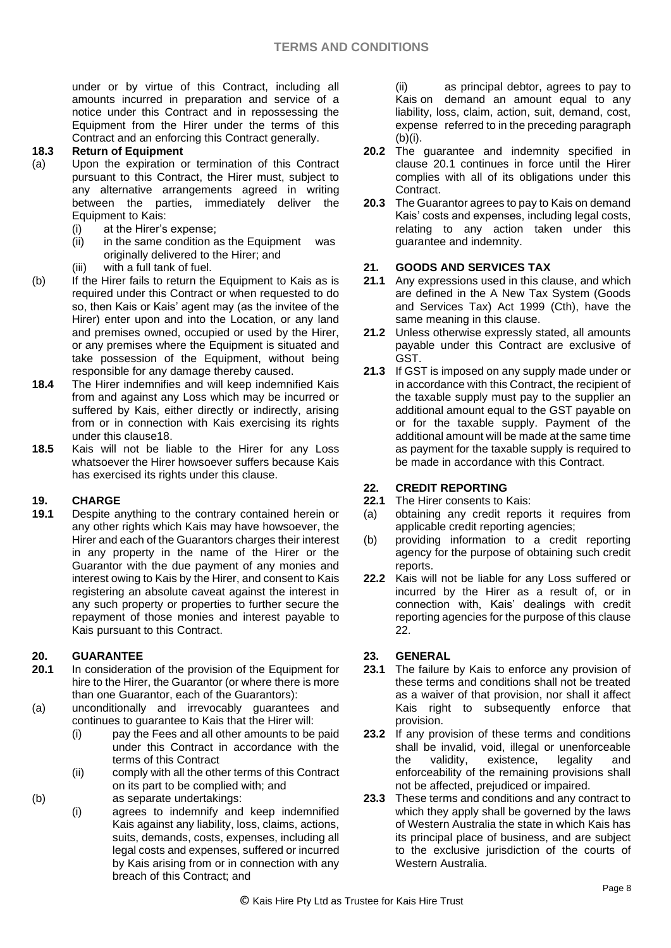under or by virtue of this Contract, including all amounts incurred in preparation and service of a notice under this Contract and in repossessing the Equipment from the Hirer under the terms of this Contract and an enforcing this Contract generally.

### **18.3 Return of Equipment**

- (a) Upon the expiration or termination of this Contract pursuant to this Contract, the Hirer must, subject to any alternative arrangements agreed in writing between the parties, immediately deliver the Equipment to Kais:
	- (i) at the Hirer's expense;<br>(ii) in the same condition a
	- in the same condition as the Equipment was originally delivered to the Hirer; and
	- (iii) with a full tank of fuel.
- (b) If the Hirer fails to return the Equipment to Kais as is required under this Contract or when requested to do so, then Kais or Kais' agent may (as the invitee of the Hirer) enter upon and into the Location, or any land and premises owned, occupied or used by the Hirer, or any premises where the Equipment is situated and take possession of the Equipment, without being responsible for any damage thereby caused.
- **18.4** The Hirer indemnifies and will keep indemnified Kais from and against any Loss which may be incurred or suffered by Kais, either directly or indirectly, arising from or in connection with Kais exercising its rights under this clause18.
- **18.5** Kais will not be liable to the Hirer for any Loss whatsoever the Hirer howsoever suffers because Kais has exercised its rights under this clause.

# **19. CHARGE**

**19.1** Despite anything to the contrary contained herein or any other rights which Kais may have howsoever, the Hirer and each of the Guarantors charges their interest in any property in the name of the Hirer or the Guarantor with the due payment of any monies and interest owing to Kais by the Hirer, and consent to Kais registering an absolute caveat against the interest in any such property or properties to further secure the repayment of those monies and interest payable to Kais pursuant to this Contract.

#### **20. GUARANTEE**

- **20.1** In consideration of the provision of the Equipment for hire to the Hirer, the Guarantor (or where there is more than one Guarantor, each of the Guarantors):
- (a) unconditionally and irrevocably guarantees and continues to guarantee to Kais that the Hirer will:
	- (i) pay the Fees and all other amounts to be paid under this Contract in accordance with the terms of this Contract
	- (ii) comply with all the other terms of this Contract on its part to be complied with; and
- (b) as separate undertakings: (i) agrees to indemnify and keep indemnified
	- Kais against any liability, loss, claims, actions, suits, demands, costs, expenses, including all legal costs and expenses, suffered or incurred by Kais arising from or in connection with any breach of this Contract; and

(ii) as principal debtor, agrees to pay to Kais on demand an amount equal to any liability, loss, claim, action, suit, demand, cost, expense referred to in the preceding paragraph  $(b)(i)$ .

- **20.2** The guarantee and indemnity specified in clause 20.1 continues in force until the Hirer complies with all of its obligations under this Contract.
- **20.3** The Guarantor agrees to pay to Kais on demand Kais' costs and expenses, including legal costs, relating to any action taken under this guarantee and indemnity.

#### **21. GOODS AND SERVICES TAX**

- **21.1** Any expressions used in this clause, and which are defined in the A New Tax System (Goods and Services Tax) Act 1999 (Cth), have the same meaning in this clause.
- **21.2** Unless otherwise expressly stated, all amounts payable under this Contract are exclusive of GST.
- **21.3** If GST is imposed on any supply made under or in accordance with this Contract, the recipient of the taxable supply must pay to the supplier an additional amount equal to the GST payable on or for the taxable supply. Payment of the additional amount will be made at the same time as payment for the taxable supply is required to be made in accordance with this Contract.

### **22. CREDIT REPORTING**

- **22.1** The Hirer consents to Kais:
- (a) obtaining any credit reports it requires from applicable credit reporting agencies;
- (b) providing information to a credit reporting agency for the purpose of obtaining such credit reports.
- **22.2** Kais will not be liable for any Loss suffered or incurred by the Hirer as a result of, or in connection with, Kais' dealings with credit reporting agencies for the purpose of this clause 22.

#### **23. GENERAL**

- **23.1** The failure by Kais to enforce any provision of these terms and conditions shall not be treated as a waiver of that provision, nor shall it affect Kais right to subsequently enforce that provision.
- **23.2** If any provision of these terms and conditions shall be invalid, void, illegal or unenforceable the validity, existence, legality and enforceability of the remaining provisions shall not be affected, prejudiced or impaired.
- **23.3** These terms and conditions and any contract to which they apply shall be governed by the laws of Western Australia the state in which Kais has its principal place of business, and are subject to the exclusive jurisdiction of the courts of Western Australia.